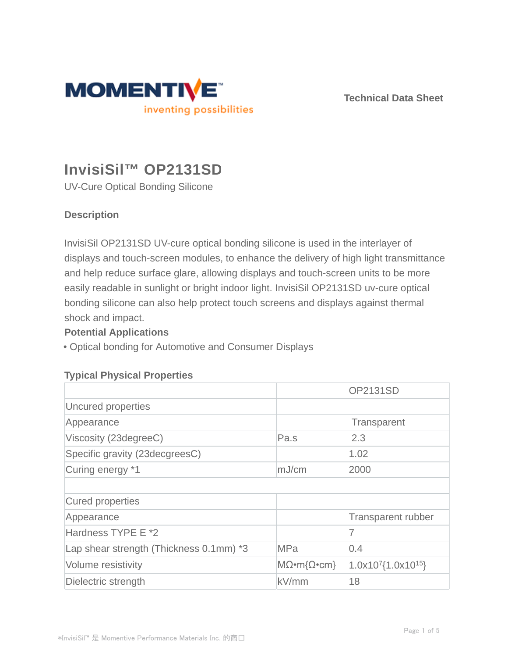

**Technical Data Sheet**

# **InvisiSil™ OP2131SD**

UV-Cure Optical Bonding Silicone

# **Description**

InvisiSil OP2131SD UV-cure optical bonding silicone is used in the interlayer of displays and touch-screen modules, to enhance the delivery of high light transmittance and help reduce surface glare, allowing displays and touch-screen units to be more easily readable in sunlight or bright indoor light. InvisiSil OP2131SD uv-cure optical bonding silicone can also help protect touch screens and displays against thermal shock and impact.

## **Potential Applications**

• Optical bonding for Automotive and Consumer Displays

## **Typical Physical Properties**

|                                         |                                  | <b>OP2131SD</b>                      |
|-----------------------------------------|----------------------------------|--------------------------------------|
| Uncured properties                      |                                  |                                      |
| Appearance                              |                                  | Transparent                          |
| Viscosity (23degreeC)                   | Pa.s                             | 2.3                                  |
| Specific gravity (23decgreesC)          |                                  | 1.02                                 |
| Curing energy *1                        | mJ/cm                            | 2000                                 |
|                                         |                                  |                                      |
| Cured properties                        |                                  |                                      |
| Appearance                              |                                  | <b>Transparent rubber</b>            |
| Hardness TYPE E *2                      |                                  | 7                                    |
| Lap shear strength (Thickness 0.1mm) *3 | <b>MPa</b>                       | 0.4                                  |
| Volume resistivity                      | $M\Omega \cdot m\Omega \cdot cm$ | $1.0x10^{7}$ {1.0x10 <sup>15</sup> } |
| Dielectric strength                     | kV/mm                            | 18                                   |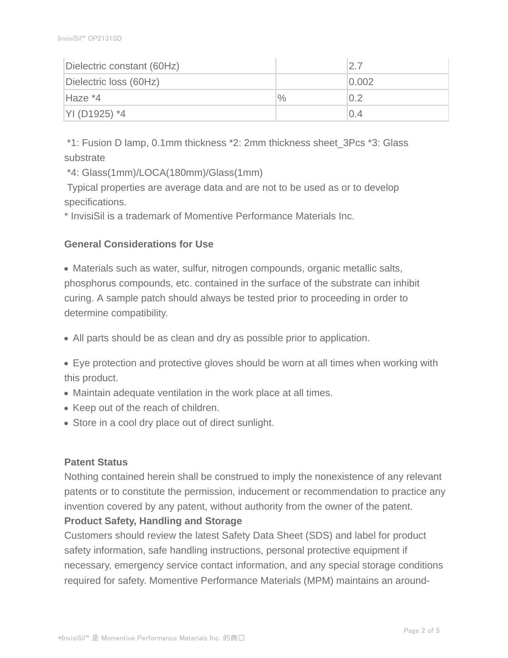| Dielectric constant (60Hz) |      | 27    |
|----------------------------|------|-------|
| Dielectric loss (60Hz)     |      | 0.002 |
| Haze *4                    | $\%$ | 0.2   |
| YI (D1925) *4              |      | 0.4   |

 \*1: Fusion D lamp, 0.1mm thickness \*2: 2mm thickness sheet\_3Pcs \*3: Glass substrate

\*4: Glass(1mm)/LOCA(180mm)/Glass(1mm)

Typical properties are average data and are not to be used as or to develop specifications.

\* InvisiSil is a trademark of Momentive Performance Materials Inc.

## **General Considerations for Use**

Materials such as water, sulfur, nitrogen compounds, organic metallic salts, phosphorus compounds, etc. contained in the surface of the substrate can inhibit curing. A sample patch should always be tested prior to proceeding in order to determine compatibility.

All parts should be as clean and dry as possible prior to application.

Eye protection and protective gloves should be worn at all times when working with this product.

- Maintain adequate ventilation in the work place at all times.
- Keep out of the reach of children.
- Store in a cool dry place out of direct sunlight.

## **Patent Status**

Nothing contained herein shall be construed to imply the nonexistence of any relevant patents or to constitute the permission, inducement or recommendation to practice any invention covered by any patent, without authority from the owner of the patent. **Product Safety, Handling and Storage**

Customers should review the latest Safety Data Sheet (SDS) and label for product safety information, safe handling instructions, personal protective equipment if necessary, emergency service contact information, and any special storage conditions required for safety. Momentive Performance Materials (MPM) maintains an around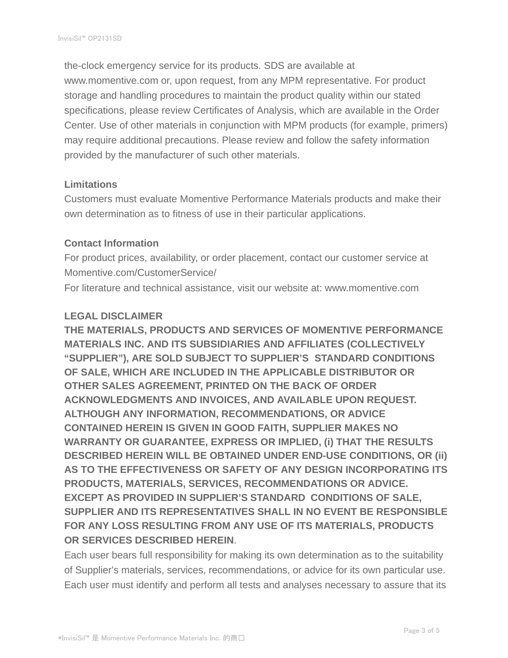the-clock emergency service for its products. SDS are available at www.momentive.com or, upon request, from any MPM representative. For product storage and handling procedures to maintain the product quality within our stated specifications, please review Certificates of Analysis, which are available in the Order Center. Use of other materials in conjunction with MPM products (for example, primers) may require additional precautions. Please review and follow the safety information provided by the manufacturer of such other materials.

### **Limitations**

Customers must evaluate Momentive Performance Materials products and make their own determination as to fitness of use in their particular applications.

#### **Contact Information**

For product prices, availability, or order placement, contact our customer service at Momentive.com/CustomerService/

For literature and technical assistance, visit our website at: www.momentive.com

#### **LEGAL DISCLAIMER**

**THE MATERIALS, PRODUCTS AND SERVICES OF MOMENTIVE PERFORMANCE MATERIALS INC. AND ITS SUBSIDIARIES AND AFFILIATES (COLLECTIVELY "SUPPLIER"), ARE SOLD SUBJECT TO SUPPLIER'S STANDARD CONDITIONS OF SALE, WHICH ARE INCLUDED IN THE APPLICABLE DISTRIBUTOR OR OTHER SALES AGREEMENT, PRINTED ON THE BACK OF ORDER ACKNOWLEDGMENTS AND INVOICES, AND AVAILABLE UPON REQUEST. ALTHOUGH ANY INFORMATION, RECOMMENDATIONS, OR ADVICE CONTAINED HEREIN IS GIVEN IN GOOD FAITH, SUPPLIER MAKES NO WARRANTY OR GUARANTEE, EXPRESS OR IMPLIED, (i) THAT THE RESULTS DESCRIBED HEREIN WILL BE OBTAINED UNDER END-USE CONDITIONS, OR (ii) AS TO THE EFFECTIVENESS OR SAFETY OF ANY DESIGN INCORPORATING ITS PRODUCTS, MATERIALS, SERVICES, RECOMMENDATIONS OR ADVICE. EXCEPT AS PROVIDED IN SUPPLIER'S STANDARD CONDITIONS OF SALE, SUPPLIER AND ITS REPRESENTATIVES SHALL IN NO EVENT BE RESPONSIBLE FOR ANY LOSS RESULTING FROM ANY USE OF ITS MATERIALS, PRODUCTS OR SERVICES DESCRIBED HEREIN**.

Each user bears full responsibility for making its own determination as to the suitability of Supplier's materials, services, recommendations, or advice for its own particular use. Each user must identify and perform all tests and analyses necessary to assure that its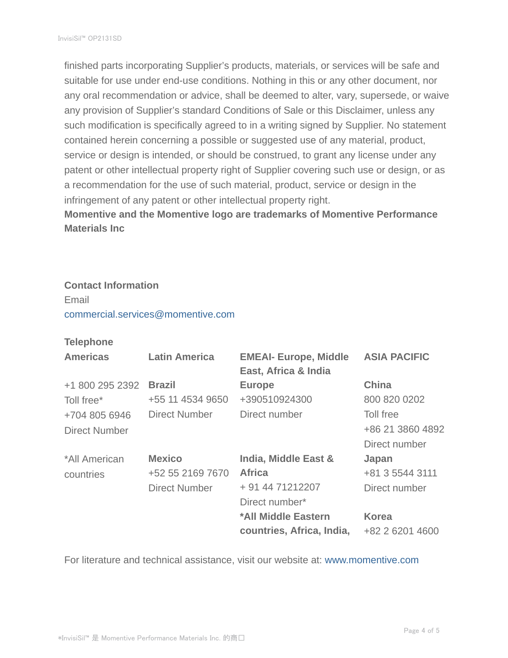finished parts incorporating Supplier's products, materials, or services will be safe and suitable for use under end-use conditions. Nothing in this or any other document, nor any oral recommendation or advice, shall be deemed to alter, vary, supersede, or waive any provision of Supplier's standard Conditions of Sale or this Disclaimer, unless any such modification is specifically agreed to in a writing signed by Supplier. No statement contained herein concerning a possible or suggested use of any material, product, service or design is intended, or should be construed, to grant any license under any patent or other intellectual property right of Supplier covering such use or design, or as a recommendation for the use of such material, product, service or design in the infringement of any patent or other intellectual property right.

**Momentive and the Momentive logo are trademarks of Momentive Performance Materials Inc**

## **Contact Information** Email

commercial.services@momentive.com

## **Telephone**

| <b>Americas</b>      | <b>Latin America</b> | <b>EMEAI- Europe, Middle</b><br>East, Africa & India | <b>ASIA PACIFIC</b> |
|----------------------|----------------------|------------------------------------------------------|---------------------|
| +1 800 295 2392      | <b>Brazil</b>        | <b>Europe</b>                                        | <b>China</b>        |
| Toll free*           | +55 11 4534 9650     | +390510924300                                        | 800 820 0202        |
| +704 805 6946        | Direct Number        | Direct number                                        | Toll free           |
| <b>Direct Number</b> |                      |                                                      | +86 21 3860 4892    |
|                      |                      |                                                      | Direct number       |
| *All American        | <b>Mexico</b>        | India, Middle East &                                 | Japan               |
| countries            | +52 55 2169 7670     | <b>Africa</b>                                        | +81 3 5544 3111     |
|                      | <b>Direct Number</b> | + 91 44 71212207                                     | Direct number       |
|                      |                      | Direct number*                                       |                     |
|                      |                      | *All Middle Eastern                                  | <b>Korea</b>        |
|                      |                      | countries, Africa, India,                            | +82 2 6201 4600     |

For literature and technical assistance, visit our website at: www.momentive.com